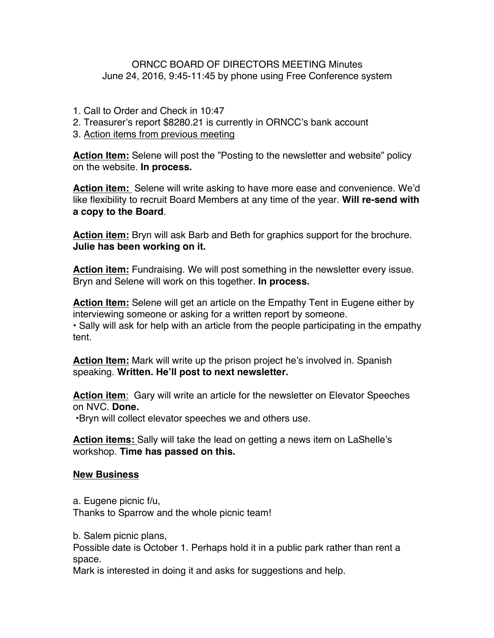## ORNCC BOARD OF DIRECTORS MEETING Minutes June 24, 2016, 9:45-11:45 by phone using Free Conference system

- 1. Call to Order and Check in 10:47
- 2. Treasurer's report \$8280.21 is currently in ORNCC's bank account
- 3. Action items from previous meeting

**Action Item:** Selene will post the "Posting to the newsletter and website" policy on the website. **In process.** 

**Action item:** Selene will write asking to have more ease and convenience. We'd like flexibility to recruit Board Members at any time of the year. **Will re-send with a copy to the Board**.

**Action item:** Bryn will ask Barb and Beth for graphics support for the brochure. **Julie has been working on it.**

**Action item:** Fundraising. We will post something in the newsletter every issue. Bryn and Selene will work on this together. **In process.**

**Action Item:** Selene will get an article on the Empathy Tent in Eugene either by interviewing someone or asking for a written report by someone.

• Sally will ask for help with an article from the people participating in the empathy tent.

**Action Item:** Mark will write up the prison project he's involved in. Spanish speaking. **Written. He'll post to next newsletter.**

**Action item**: Gary will write an article for the newsletter on Elevator Speeches on NVC. **Done.**

**•**Bryn will collect elevator speeches we and others use.

**Action items:** Sally will take the lead on getting a news item on LaShelle's workshop. **Time has passed on this.**

## **New Business**

a. Eugene picnic f/u, Thanks to Sparrow and the whole picnic team!

b. Salem picnic plans,

Possible date is October 1. Perhaps hold it in a public park rather than rent a space.

Mark is interested in doing it and asks for suggestions and help.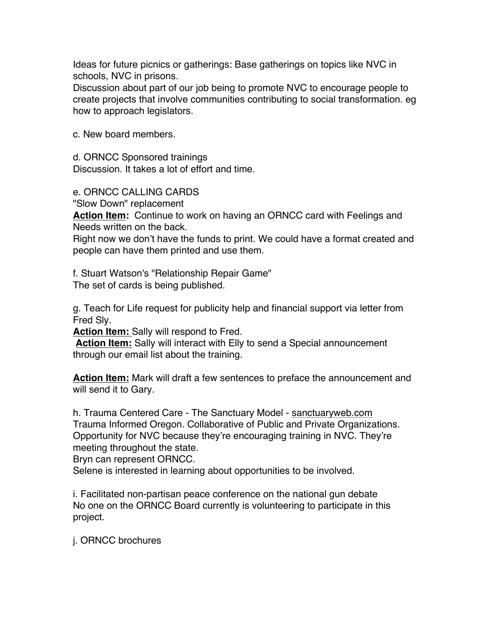Ideas for future picnics or gatherings: Base gatherings on topics like NVC in schools, NVC in prisons.

Discussion about part of our job being to promote NVC to encourage people to create projects that involve communities contributing to social transformation. eg how to approach legislators.

c. New board members.

d. ORNCC Sponsored trainings

Discussion. It takes a lot of effort and time.

e. ORNCC CALLING CARDS

"Slow Down" replacement

**Action Item:** Continue to work on having an ORNCC card with Feelings and Needs written on the back.

Right now we don't have the funds to print. We could have a format created and people can have them printed and use them.

f. Stuart Watson's "Relationship Repair Game" The set of cards is being published.

g. Teach for Life request for publicity help and financial support via letter from Fred Sly.

**Action Item:** Sally will respond to Fred.

**Action Item:** Sally will interact with Elly to send a Special announcement through our email list about the training.

**Action Item:** Mark will draft a few sentences to preface the announcement and will send it to Gary.

h. Trauma Centered Care - The Sanctuary Model - sanctuaryweb.com Trauma Informed Oregon. Collaborative of Public and Private Organizations. Opportunity for NVC because they're encouraging training in NVC. They're meeting throughout the state.

Bryn can represent ORNCC.

Selene is interested in learning about opportunities to be involved.

i. Facilitated non-partisan peace conference on the national gun debate No one on the ORNCC Board currently is volunteering to participate in this project.

j. ORNCC brochures